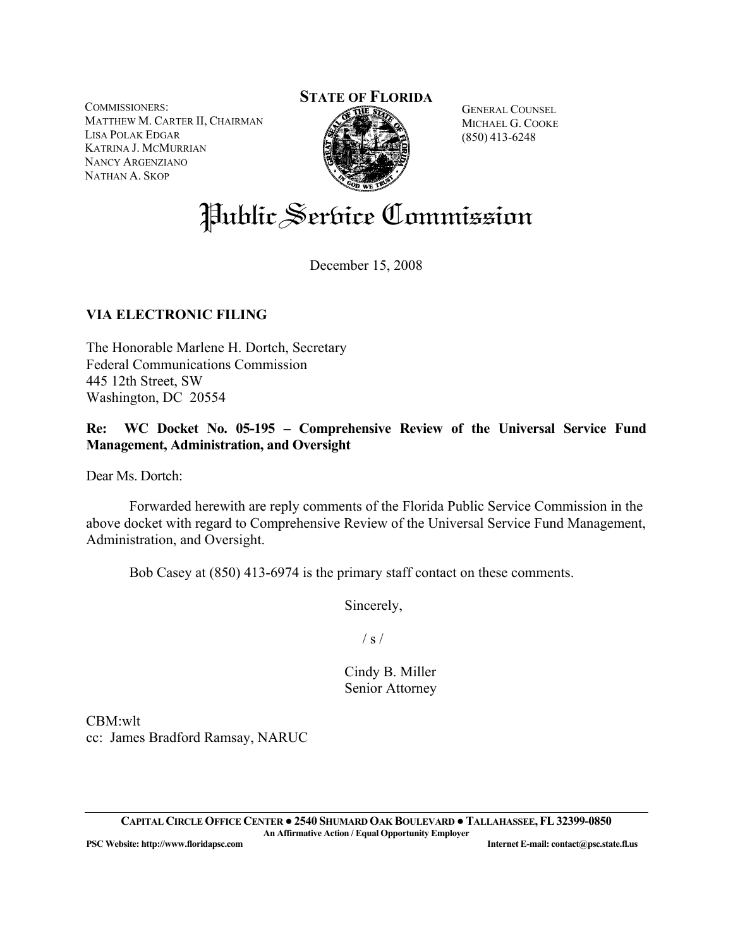COMMISSIONERS: MATTHEW M. CARTER II, CHAIRMAN LISA POLAK EDGAR KATRINA J. MCMURRIAN NANCY ARGENZIANO NATHAN A. SKOP

# **STATE OF FLORIDA**



GENERAL COUNSEL MICHAEL G. COOKE (850) 413-6248

Public Serbice Commission

December 15, 2008

## **VIA ELECTRONIC FILING**

The Honorable Marlene H. Dortch, Secretary Federal Communications Commission 445 12th Street, SW Washington, DC 20554

## **Re: WC Docket No. 05-195 – Comprehensive Review of the Universal Service Fund Management, Administration, and Oversight**

Dear Ms. Dortch:

 Forwarded herewith are reply comments of the Florida Public Service Commission in the above docket with regard to Comprehensive Review of the Universal Service Fund Management, Administration, and Oversight.

Bob Casey at (850) 413-6974 is the primary staff contact on these comments.

Sincerely,

 $\frac{1}{s}$  /

 Cindy B. Miller Senior Attorney

CBM:wlt cc: James Bradford Ramsay, NARUC

> **CAPITAL CIRCLE OFFICE CENTER ●2540 SHUMARD OAK BOULEVARD ●TALLAHASSEE,FL32399-0850 An Affirmative Action / Equal Opportunity Employer**

**PSC Website: http://www.floridapsc.com Internet E-mail: contact@psc.state.fl.us**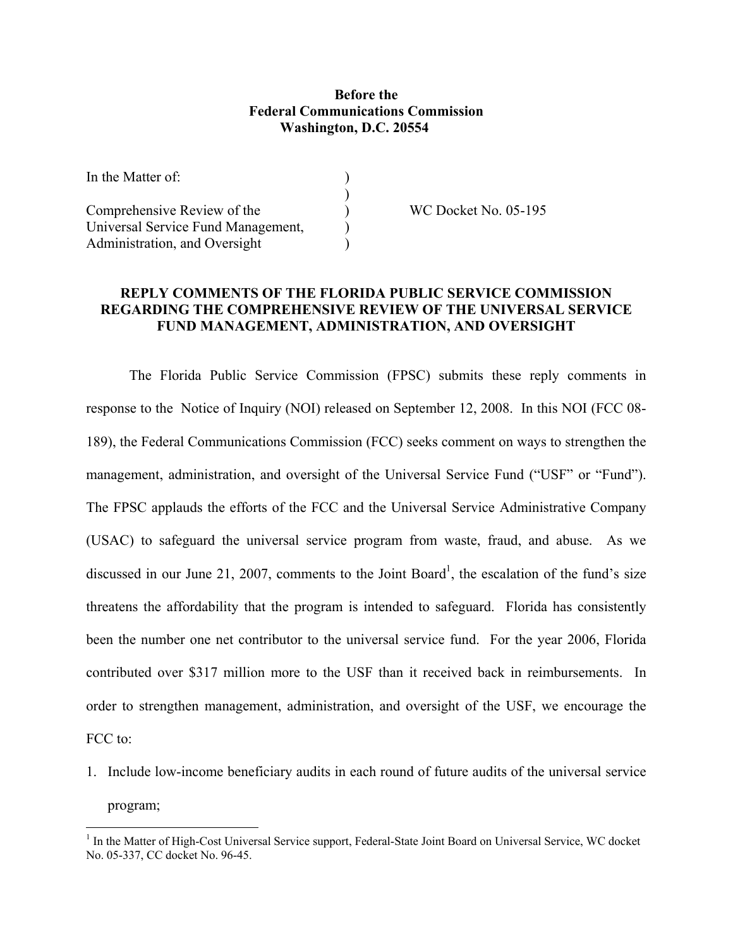### **Before the Federal Communications Commission Washington, D.C. 20554**

| In the Matter of:                  |  |
|------------------------------------|--|
|                                    |  |
| Comprehensive Review of the        |  |
| Universal Service Fund Management, |  |
| Administration, and Oversight      |  |

WC Docket No. 05-195

#### **REPLY COMMENTS OF THE FLORIDA PUBLIC SERVICE COMMISSION REGARDING THE COMPREHENSIVE REVIEW OF THE UNIVERSAL SERVICE FUND MANAGEMENT, ADMINISTRATION, AND OVERSIGHT**

 The Florida Public Service Commission (FPSC) submits these reply comments in response to the Notice of Inquiry (NOI) released on September 12, 2008. In this NOI (FCC 08- 189), the Federal Communications Commission (FCC) seeks comment on ways to strengthen the management, administration, and oversight of the Universal Service Fund ("USF" or "Fund"). The FPSC applauds the efforts of the FCC and the Universal Service Administrative Company (USAC) to safeguard the universal service program from waste, fraud, and abuse. As we discussed in our June 21, 2007, comments to the Joint Board<sup>1</sup>, the escalation of the fund's size threatens the affordability that the program is intended to safeguard. Florida has consistently been the number one net contributor to the universal service fund. For the year 2006, Florida contributed over \$317 million more to the USF than it received back in reimbursements. In order to strengthen management, administration, and oversight of the USF, we encourage the FCC to:

1. Include low-income beneficiary audits in each round of future audits of the universal service program;

<sup>&</sup>lt;sup>1</sup> In the Matter of High-Cost Universal Service support, Federal-State Joint Board on Universal Service, WC docket No. 05-337, CC docket No. 96-45.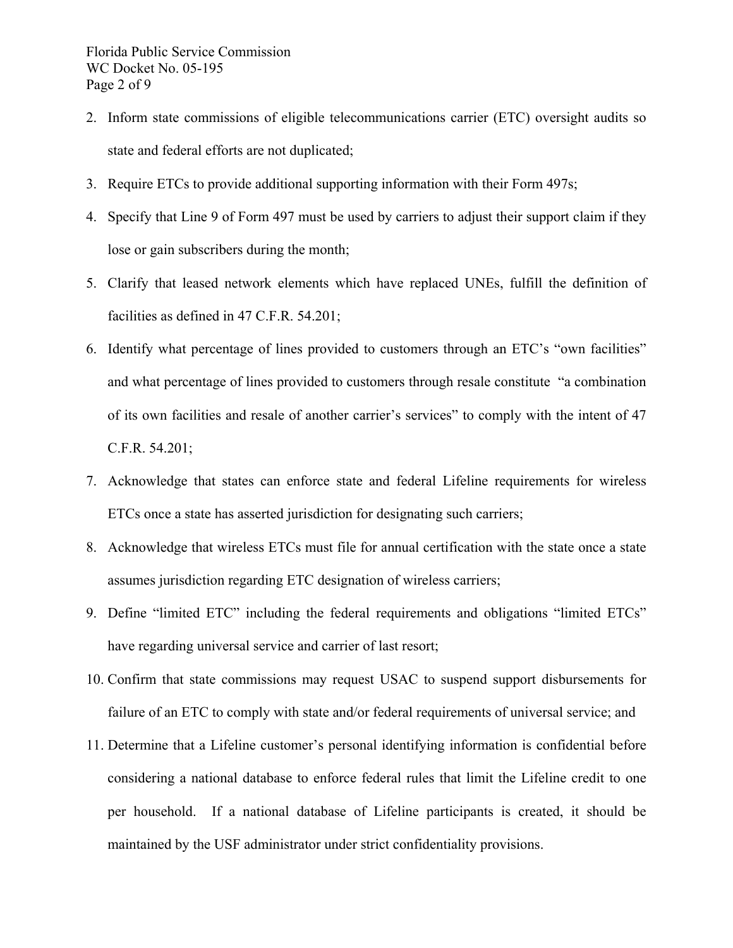- 2. Inform state commissions of eligible telecommunications carrier (ETC) oversight audits so state and federal efforts are not duplicated;
- 3. Require ETCs to provide additional supporting information with their Form 497s;
- 4. Specify that Line 9 of Form 497 must be used by carriers to adjust their support claim if they lose or gain subscribers during the month;
- 5. Clarify that leased network elements which have replaced UNEs, fulfill the definition of facilities as defined in 47 C.F.R. 54.201;
- 6. Identify what percentage of lines provided to customers through an ETC's "own facilities" and what percentage of lines provided to customers through resale constitute "a combination of its own facilities and resale of another carrier's services" to comply with the intent of 47 C.F.R. 54.201;
- 7. Acknowledge that states can enforce state and federal Lifeline requirements for wireless ETCs once a state has asserted jurisdiction for designating such carriers;
- 8. Acknowledge that wireless ETCs must file for annual certification with the state once a state assumes jurisdiction regarding ETC designation of wireless carriers;
- 9. Define "limited ETC" including the federal requirements and obligations "limited ETCs" have regarding universal service and carrier of last resort;
- 10. Confirm that state commissions may request USAC to suspend support disbursements for failure of an ETC to comply with state and/or federal requirements of universal service; and
- 11. Determine that a Lifeline customer's personal identifying information is confidential before considering a national database to enforce federal rules that limit the Lifeline credit to one per household. If a national database of Lifeline participants is created, it should be maintained by the USF administrator under strict confidentiality provisions.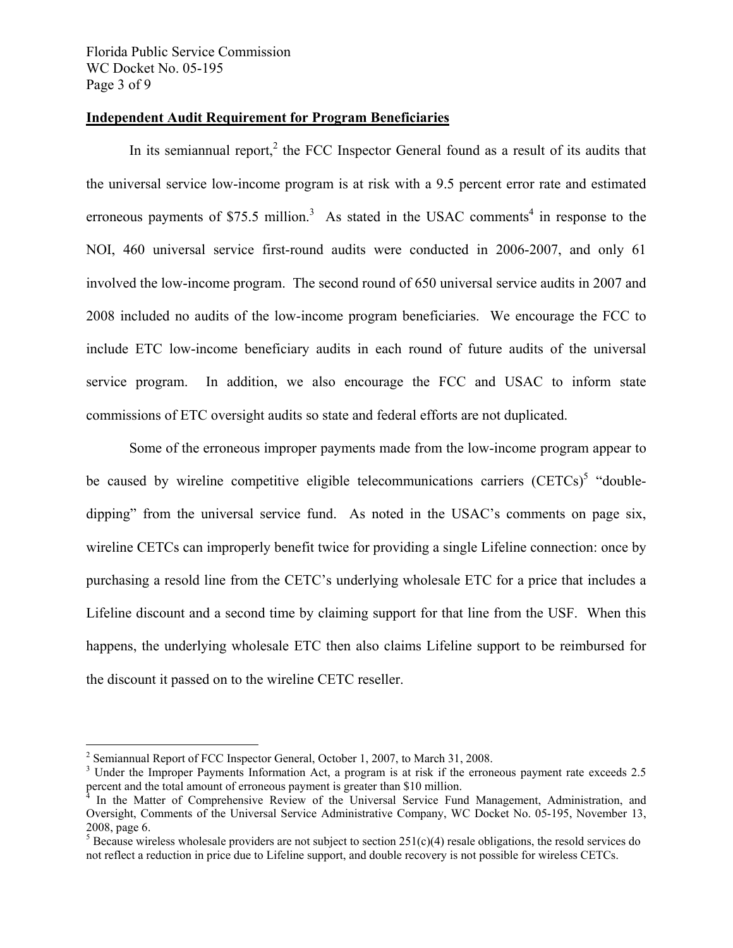Florida Public Service Commission WC Docket No. 05-195 Page 3 of 9

#### **Independent Audit Requirement for Program Beneficiaries**

In its semiannual report, $2$  the FCC Inspector General found as a result of its audits that the universal service low-income program is at risk with a 9.5 percent error rate and estimated erroneous payments of \$75.5 million.<sup>3</sup> As stated in the USAC comments<sup>4</sup> in response to the NOI, 460 universal service first-round audits were conducted in 2006-2007, and only 61 involved the low-income program. The second round of 650 universal service audits in 2007 and 2008 included no audits of the low-income program beneficiaries. We encourage the FCC to include ETC low-income beneficiary audits in each round of future audits of the universal service program. In addition, we also encourage the FCC and USAC to inform state commissions of ETC oversight audits so state and federal efforts are not duplicated.

 Some of the erroneous improper payments made from the low-income program appear to be caused by wireline competitive eligible telecommunications carriers  $(CETCs)^5$  "doubledipping" from the universal service fund. As noted in the USAC's comments on page six, wireline CETCs can improperly benefit twice for providing a single Lifeline connection: once by purchasing a resold line from the CETC's underlying wholesale ETC for a price that includes a Lifeline discount and a second time by claiming support for that line from the USF. When this happens, the underlying wholesale ETC then also claims Lifeline support to be reimbursed for the discount it passed on to the wireline CETC reseller.

 $\overline{a}$ 

<sup>&</sup>lt;sup>2</sup> Semiannual Report of FCC Inspector General, October 1, 2007, to March 31, 2008.

<sup>&</sup>lt;sup>3</sup> Under the Improper Payments Information Act, a program is at risk if the erroneous payment rate exceeds 2.5 percent and the total amount of erroneous payment is greater than \$10 million.

<sup>4</sup> In the Matter of Comprehensive Review of the Universal Service Fund Management, Administration, and Oversight, Comments of the Universal Service Administrative Company, WC Docket No. 05-195, November 13, 2008, page 6.

 $5$  Because wireless wholesale providers are not subject to section 251(c)(4) resale obligations, the resold services do not reflect a reduction in price due to Lifeline support, and double recovery is not possible for wireless CETCs.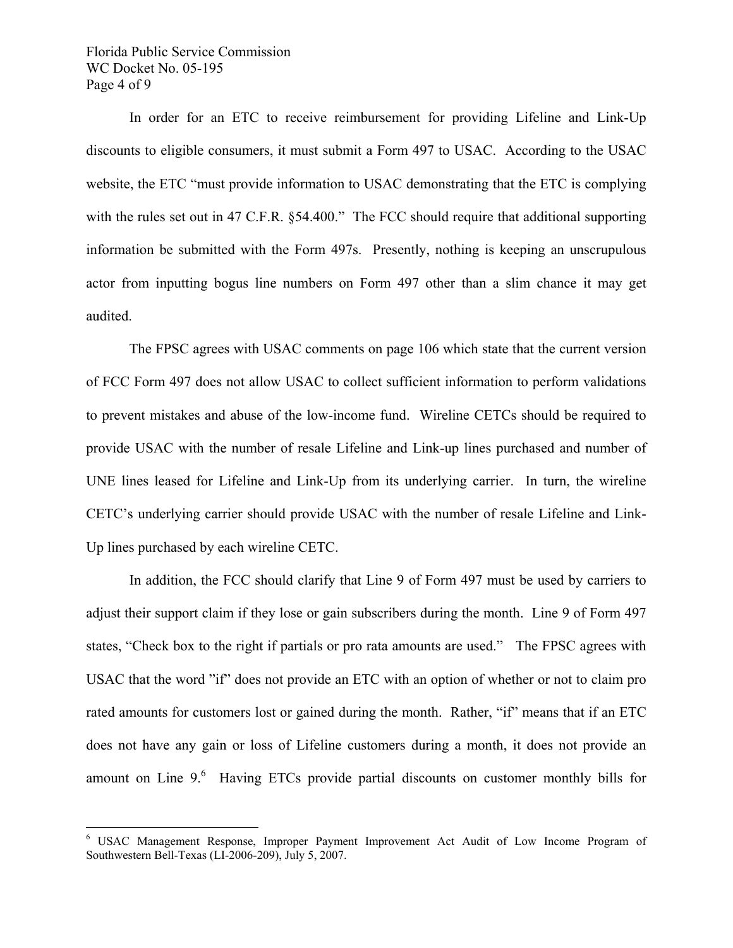Florida Public Service Commission WC Docket No. 05-195 Page 4 of 9

1

 In order for an ETC to receive reimbursement for providing Lifeline and Link-Up discounts to eligible consumers, it must submit a Form 497 to USAC. According to the USAC website, the ETC "must provide information to USAC demonstrating that the ETC is complying with the rules set out in 47 C.F.R. §54.400." The FCC should require that additional supporting information be submitted with the Form 497s. Presently, nothing is keeping an unscrupulous actor from inputting bogus line numbers on Form 497 other than a slim chance it may get audited.

 The FPSC agrees with USAC comments on page 106 which state that the current version of FCC Form 497 does not allow USAC to collect sufficient information to perform validations to prevent mistakes and abuse of the low-income fund. Wireline CETCs should be required to provide USAC with the number of resale Lifeline and Link-up lines purchased and number of UNE lines leased for Lifeline and Link-Up from its underlying carrier. In turn, the wireline CETC's underlying carrier should provide USAC with the number of resale Lifeline and Link-Up lines purchased by each wireline CETC.

 In addition, the FCC should clarify that Line 9 of Form 497 must be used by carriers to adjust their support claim if they lose or gain subscribers during the month. Line 9 of Form 497 states, "Check box to the right if partials or pro rata amounts are used." The FPSC agrees with USAC that the word "if" does not provide an ETC with an option of whether or not to claim pro rated amounts for customers lost or gained during the month. Rather, "if" means that if an ETC does not have any gain or loss of Lifeline customers during a month, it does not provide an amount on Line  $9<sup>6</sup>$  Having ETCs provide partial discounts on customer monthly bills for

<sup>&</sup>lt;sup>6</sup> USAC Management Response, Improper Payment Improvement Act Audit of Low Income Program of Southwestern Bell-Texas (LI-2006-209), July 5, 2007.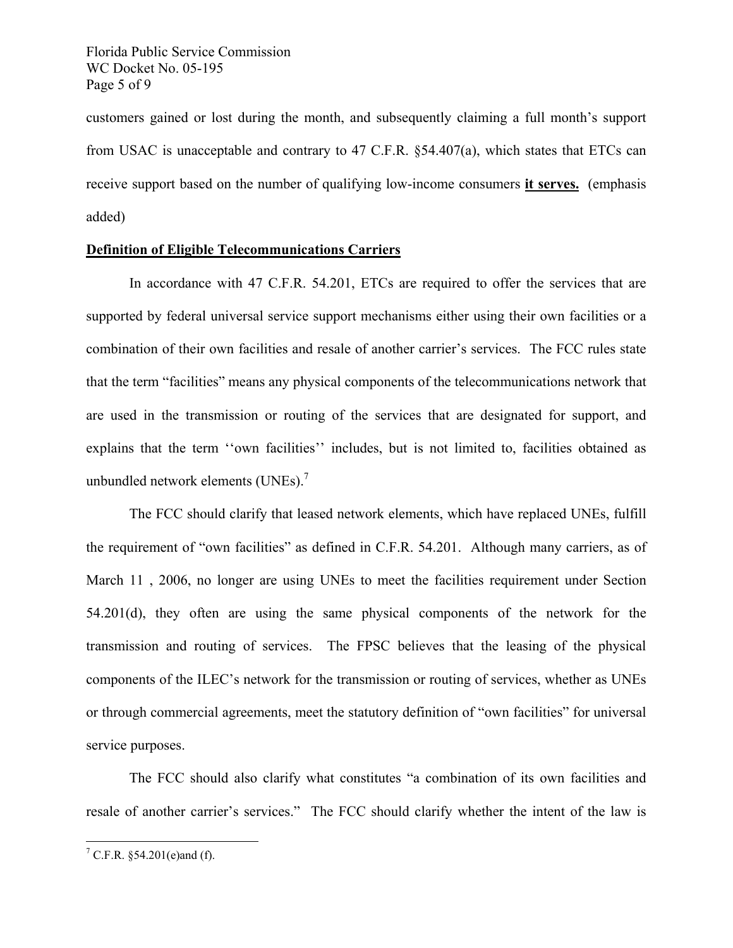Florida Public Service Commission WC Docket No. 05-195 Page 5 of 9

customers gained or lost during the month, and subsequently claiming a full month's support from USAC is unacceptable and contrary to 47 C.F.R. §54.407(a), which states that ETCs can receive support based on the number of qualifying low-income consumers **it serves.** (emphasis added)

### **Definition of Eligible Telecommunications Carriers**

 In accordance with 47 C.F.R. 54.201, ETCs are required to offer the services that are supported by federal universal service support mechanisms either using their own facilities or a combination of their own facilities and resale of another carrier's services. The FCC rules state that the term "facilities" means any physical components of the telecommunications network that are used in the transmission or routing of the services that are designated for support, and explains that the term ''own facilities'' includes, but is not limited to, facilities obtained as unbundled network elements (UNEs).<sup>7</sup>

 The FCC should clarify that leased network elements, which have replaced UNEs, fulfill the requirement of "own facilities" as defined in C.F.R. 54.201. Although many carriers, as of March 11 , 2006, no longer are using UNEs to meet the facilities requirement under Section 54.201(d), they often are using the same physical components of the network for the transmission and routing of services. The FPSC believes that the leasing of the physical components of the ILEC's network for the transmission or routing of services, whether as UNEs or through commercial agreements, meet the statutory definition of "own facilities" for universal service purposes.

 The FCC should also clarify what constitutes "a combination of its own facilities and resale of another carrier's services." The FCC should clarify whether the intent of the law is

<sup>&</sup>lt;sup>7</sup> C.F.R. §54.201(e)and (f).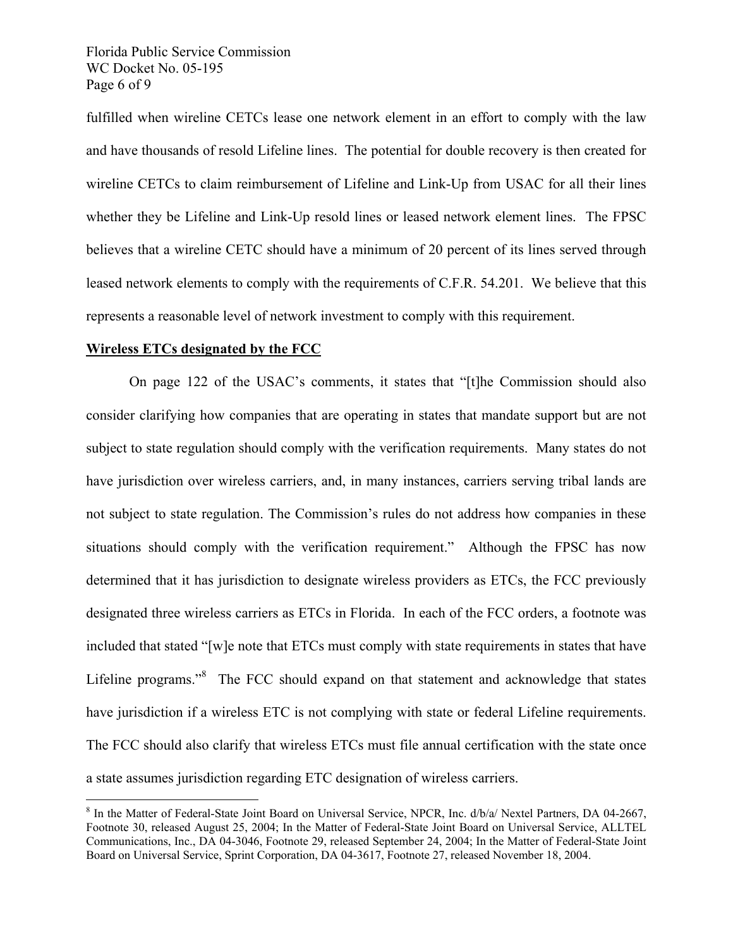Florida Public Service Commission WC Docket No. 05-195 Page 6 of 9

fulfilled when wireline CETCs lease one network element in an effort to comply with the law and have thousands of resold Lifeline lines. The potential for double recovery is then created for wireline CETCs to claim reimbursement of Lifeline and Link-Up from USAC for all their lines whether they be Lifeline and Link-Up resold lines or leased network element lines. The FPSC believes that a wireline CETC should have a minimum of 20 percent of its lines served through leased network elements to comply with the requirements of C.F.R. 54.201. We believe that this represents a reasonable level of network investment to comply with this requirement.

### **Wireless ETCs designated by the FCC**

 On page 122 of the USAC's comments, it states that "[t]he Commission should also consider clarifying how companies that are operating in states that mandate support but are not subject to state regulation should comply with the verification requirements. Many states do not have jurisdiction over wireless carriers, and, in many instances, carriers serving tribal lands are not subject to state regulation. The Commission's rules do not address how companies in these situations should comply with the verification requirement." Although the FPSC has now determined that it has jurisdiction to designate wireless providers as ETCs, the FCC previously designated three wireless carriers as ETCs in Florida. In each of the FCC orders, a footnote was included that stated "[w]e note that ETCs must comply with state requirements in states that have Lifeline programs."<sup>8</sup> The FCC should expand on that statement and acknowledge that states have jurisdiction if a wireless ETC is not complying with state or federal Lifeline requirements. The FCC should also clarify that wireless ETCs must file annual certification with the state once a state assumes jurisdiction regarding ETC designation of wireless carriers.

<sup>&</sup>lt;sup>8</sup> In the Matter of Federal-State Joint Board on Universal Service, NPCR, Inc. d/b/a/ Nextel Partners, DA 04-2667, Footnote 30, released August 25, 2004; In the Matter of Federal-State Joint Board on Universal Service, ALLTEL Communications, Inc., DA 04-3046, Footnote 29, released September 24, 2004; In the Matter of Federal-State Joint Board on Universal Service, Sprint Corporation, DA 04-3617, Footnote 27, released November 18, 2004.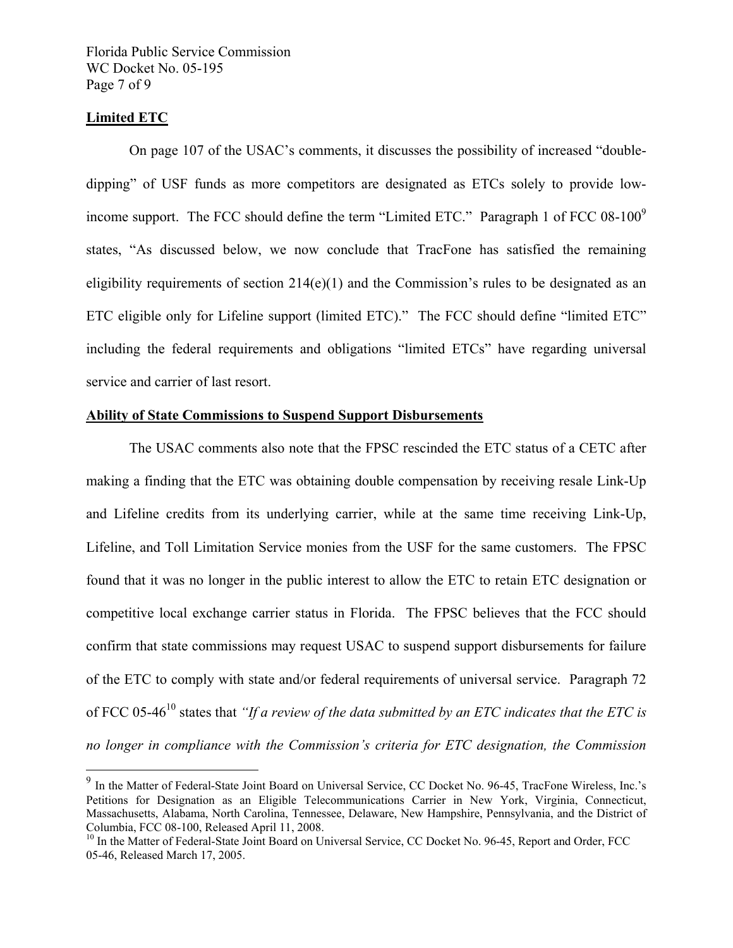Florida Public Service Commission WC Docket No. 05-195 Page 7 of 9

#### **Limited ETC**

 $\overline{a}$ 

 On page 107 of the USAC's comments, it discusses the possibility of increased "doubledipping" of USF funds as more competitors are designated as ETCs solely to provide lowincome support. The FCC should define the term "Limited ETC." Paragraph 1 of FCC  $08-100^9$ states, "As discussed below, we now conclude that TracFone has satisfied the remaining eligibility requirements of section  $214(e)(1)$  and the Commission's rules to be designated as an ETC eligible only for Lifeline support (limited ETC)." The FCC should define "limited ETC" including the federal requirements and obligations "limited ETCs" have regarding universal service and carrier of last resort.

## **Ability of State Commissions to Suspend Support Disbursements**

 The USAC comments also note that the FPSC rescinded the ETC status of a CETC after making a finding that the ETC was obtaining double compensation by receiving resale Link-Up and Lifeline credits from its underlying carrier, while at the same time receiving Link-Up, Lifeline, and Toll Limitation Service monies from the USF for the same customers. The FPSC found that it was no longer in the public interest to allow the ETC to retain ETC designation or competitive local exchange carrier status in Florida. The FPSC believes that the FCC should confirm that state commissions may request USAC to suspend support disbursements for failure of the ETC to comply with state and/or federal requirements of universal service. Paragraph 72 of FCC 05-4610 states that *"If a review of the data submitted by an ETC indicates that the ETC is no longer in compliance with the Commission's criteria for ETC designation, the Commission* 

<sup>&</sup>lt;sup>9</sup> In the Matter of Federal-State Joint Board on Universal Service, CC Docket No. 96-45, TracFone Wireless, Inc.'s Petitions for Designation as an Eligible Telecommunications Carrier in New York, Virginia, Connecticut, Massachusetts, Alabama, North Carolina, Tennessee, Delaware, New Hampshire, Pennsylvania, and the District of Columbia, FCC 08-100, Released April 11, 2008.<br><sup>10</sup> In the Matter of Federal-State Joint Board on Universal Service, CC Docket No. 96-45, Report and Order, FCC

<sup>05-46,</sup> Released March 17, 2005.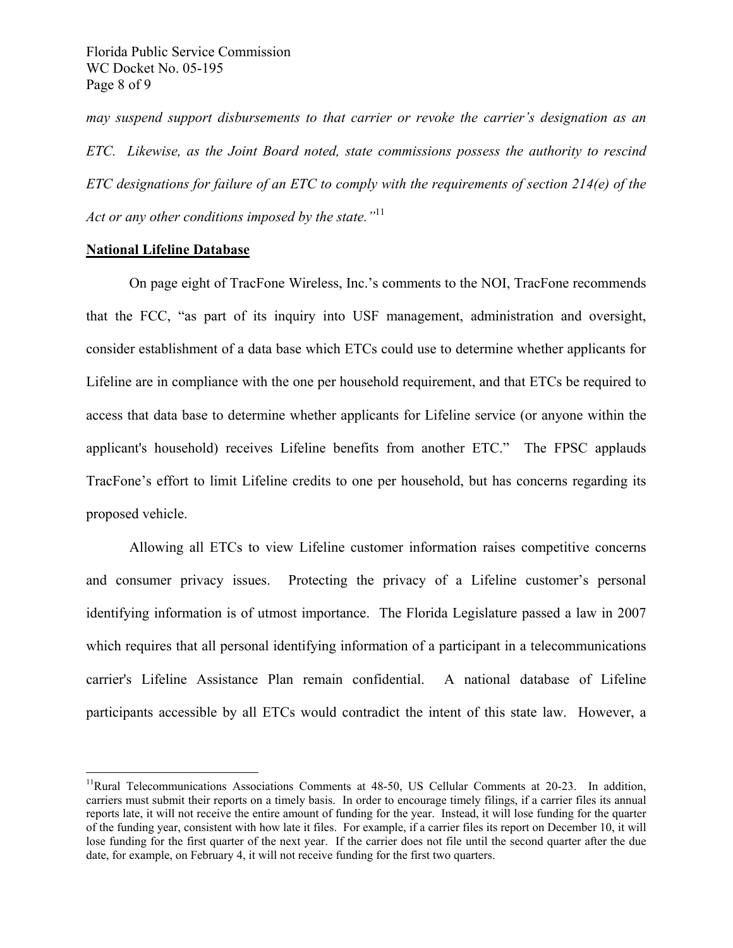Florida Public Service Commission WC Docket No. 05-195 Page 8 of 9

*may suspend support disbursements to that carrier or revoke the carrier's designation as an ETC. Likewise, as the Joint Board noted, state commissions possess the authority to rescind ETC designations for failure of an ETC to comply with the requirements of section 214(e) of the Act or any other conditions imposed by the state."*11

#### **National Lifeline Database**

1

 On page eight of TracFone Wireless, Inc.'s comments to the NOI, TracFone recommends that the FCC, "as part of its inquiry into USF management, administration and oversight, consider establishment of a data base which ETCs could use to determine whether applicants for Lifeline are in compliance with the one per household requirement, and that ETCs be required to access that data base to determine whether applicants for Lifeline service (or anyone within the applicant's household) receives Lifeline benefits from another ETC." The FPSC applauds TracFone's effort to limit Lifeline credits to one per household, but has concerns regarding its proposed vehicle.

 Allowing all ETCs to view Lifeline customer information raises competitive concerns and consumer privacy issues. Protecting the privacy of a Lifeline customer's personal identifying information is of utmost importance. The Florida Legislature passed a law in 2007 which requires that all personal identifying information of a participant in a telecommunications carrier's Lifeline Assistance Plan remain confidential. A national database of Lifeline participants accessible by all ETCs would contradict the intent of this state law. However, a

<sup>&</sup>lt;sup>11</sup>Rural Telecommunications Associations Comments at  $48-50$ , US Cellular Comments at  $20-23$ . In addition, carriers must submit their reports on a timely basis. In order to encourage timely filings, if a carrier files its annual reports late, it will not receive the entire amount of funding for the year. Instead, it will lose funding for the quarter of the funding year, consistent with how late it files. For example, if a carrier files its report on December 10, it will lose funding for the first quarter of the next year. If the carrier does not file until the second quarter after the due date, for example, on February 4, it will not receive funding for the first two quarters.